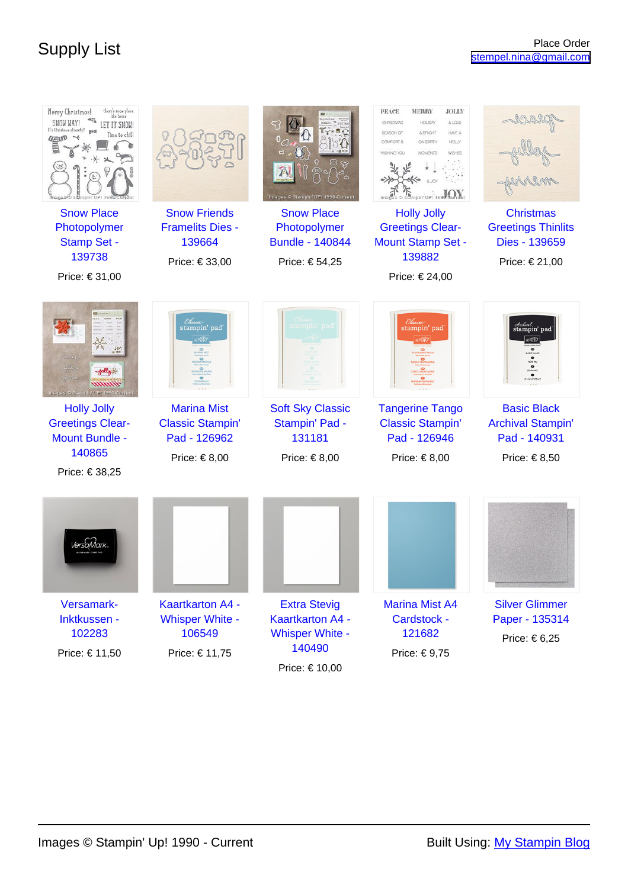| there's snow place.<br>Merry Christmas!<br>SNOW WAY!<br>LET IT SNOW!<br>It's Christmas already?<br>ime to chill<br><b>UEND</b><br><b>Snow Place</b> | <b>Snow Friends</b>                                                                | Images © Stampin' UP! 1990-Current<br><b>Snow Place</b>                                              | <b>MERRY</b><br><b>PEACE</b><br><b>JOLLY</b><br>& LOVE<br><b>HOLIDAY</b><br>CHRISTIMAS<br>& BRIGHT<br>HAVE A<br>SEASON OF<br>COMFORT &<br><b>HOLLY</b><br>ON EARTH<br>WISHING YOU<br><b>MOMENTS</b><br><b>WISHES</b><br>Sampin' UP! 1990-Surrent<br><b>Holly Jolly</b> | <b>Christmas</b>                                                                    |
|-----------------------------------------------------------------------------------------------------------------------------------------------------|------------------------------------------------------------------------------------|------------------------------------------------------------------------------------------------------|------------------------------------------------------------------------------------------------------------------------------------------------------------------------------------------------------------------------------------------------------------------------|-------------------------------------------------------------------------------------|
| Photopolymer<br><b>Stamp Set -</b><br>139738<br>Price: € 31,00                                                                                      | <b>Framelits Dies -</b><br>139664<br>Price: € 33,00                                | Photopolymer<br><b>Bundle - 140844</b><br>Price: € 54,25                                             | <b>Greetings Clear-</b><br><b>Mount Stamp Set -</b><br>139882<br>Price: € 24,00                                                                                                                                                                                        | <b>Greetings Thinlits</b><br>Dies - 139659<br>Price: € 21,00                        |
| mmm<br>Images @ Stampin' UP! 1980-Current                                                                                                           | <u> Elassic</u><br>stampin' pad                                                    | tampin' pad                                                                                          | Classic<br>stampin' pad                                                                                                                                                                                                                                                | Archienel<br>stampin' pad                                                           |
| <b>Holly Jolly</b><br><b>Greetings Clear-</b><br><b>Mount Bundle -</b><br>140865<br>Price: € 38,25                                                  | <b>Marina Mist</b><br><b>Classic Stampin'</b><br>Pad - 126962<br>Price: $\in$ 8,00 | <b>Soft Sky Classic</b><br>Stampin' Pad -<br>131181<br>Price: $\in$ 8,00                             | <b>Tangerine Tango</b><br><b>Classic Stampin'</b><br>Pad - 126946<br>Price: $\in$ 8,00                                                                                                                                                                                 | <b>Basic Black</b><br><b>Archival Stampin'</b><br>Pad - 140931<br>Price: $\in$ 8,50 |
|                                                                                                                                                     |                                                                                    |                                                                                                      |                                                                                                                                                                                                                                                                        |                                                                                     |
| Versamark-<br>Inktkussen -<br>102283<br>Price: € 11,50                                                                                              | <b>Kaartkarton A4 -</b><br><b>Whisper White -</b><br>106549<br>Price: € 11,75      | <b>Extra Stevig</b><br><b>Kaartkarton A4 -</b><br><b>Whisper White -</b><br>140490<br>Price: € 10,00 | <b>Marina Mist A4</b><br>Cardstock -<br>121682<br>Price: €9,75                                                                                                                                                                                                         | <b>Silver Glimmer</b><br>Paper - 135314<br>Price: $\in 6,25$                        |